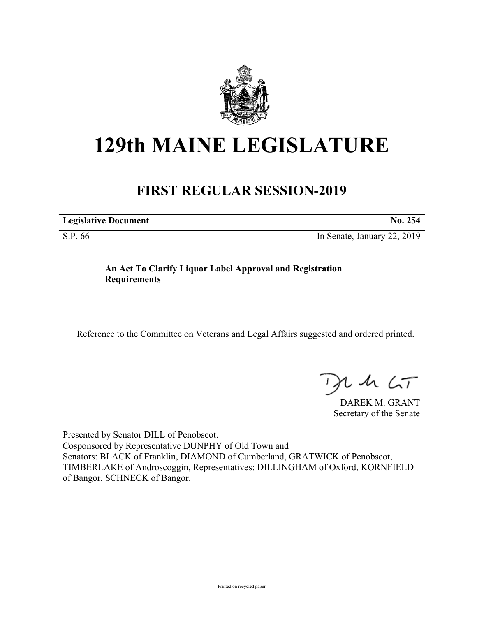

## **129th MAINE LEGISLATURE**

## **FIRST REGULAR SESSION-2019**

**Legislative Document No. 254**

S.P. 66 In Senate, January 22, 2019

## **An Act To Clarify Liquor Label Approval and Registration Requirements**

Reference to the Committee on Veterans and Legal Affairs suggested and ordered printed.

 $1157$ 

DAREK M. GRANT Secretary of the Senate

Presented by Senator DILL of Penobscot. Cosponsored by Representative DUNPHY of Old Town and Senators: BLACK of Franklin, DIAMOND of Cumberland, GRATWICK of Penobscot, TIMBERLAKE of Androscoggin, Representatives: DILLINGHAM of Oxford, KORNFIELD of Bangor, SCHNECK of Bangor.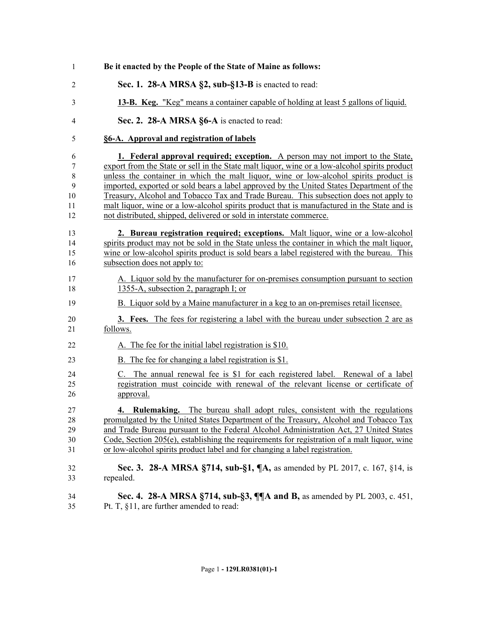| 1              | Be it enacted by the People of the State of Maine as follows:                                  |
|----------------|------------------------------------------------------------------------------------------------|
| $\overline{2}$ | Sec. 1. 28-A MRSA §2, sub-§13-B is enacted to read:                                            |
| 3              | 13-B. Keg. "Keg" means a container capable of holding at least 5 gallons of liquid.            |
| $\overline{4}$ | Sec. 2. 28-A MRSA §6-A is enacted to read:                                                     |
| 5              | §6-A. Approval and registration of labels                                                      |
| 6              | <b>1. Federal approval required; exception.</b> A person may not import to the State,          |
| 7              | export from the State or sell in the State malt liquor, wine or a low-alcohol spirits product  |
| $\,$ $\,$      | unless the container in which the malt liquor, wine or low-alcohol spirits product is          |
| 9              | imported, exported or sold bears a label approved by the United States Department of the       |
| 10             | Treasury, Alcohol and Tobacco Tax and Trade Bureau. This subsection does not apply to          |
| 11             | malt liquor, wine or a low-alcohol spirits product that is manufactured in the State and is    |
| 12             | not distributed, shipped, delivered or sold in interstate commerce.                            |
| 13             | 2. Bureau registration required; exceptions. Malt liquor, wine or a low-alcohol                |
| 14             | spirits product may not be sold in the State unless the container in which the malt liquor,    |
| 15             | wine or low-alcohol spirits product is sold bears a label registered with the bureau. This     |
| 16             | subsection does not apply to:                                                                  |
| 17             | A. Liquor sold by the manufacturer for on-premises consumption pursuant to section             |
| 18             | 1355-A, subsection 2, paragraph I; or                                                          |
| 19             | B. Liquor sold by a Maine manufacturer in a keg to an on-premises retail licensee.             |
| 20             | 3. Fees. The fees for registering a label with the bureau under subsection 2 are as            |
| 21             | follows.                                                                                       |
| 22             | A. The fee for the initial label registration is \$10.                                         |
| 23             | B. The fee for changing a label registration is \$1.                                           |
| 24             | C. The annual renewal fee is \$1 for each registered label. Renewal of a label                 |
| 25             | registration must coincide with renewal of the relevant license or certificate of              |
| 26             | approval.                                                                                      |
| 27             | 4. Rulemaking. The bureau shall adopt rules, consistent with the regulations                   |
| 28             | promulgated by the United States Department of the Treasury, Alcohol and Tobacco Tax           |
| 29             | and Trade Bureau pursuant to the Federal Alcohol Administration Act, 27 United States          |
| 30             | Code, Section $205(e)$ , establishing the requirements for registration of a malt liquor, wine |
| 31             | or low-alcohol spirits product label and for changing a label registration.                    |
| 32             | Sec. 3. 28-A MRSA §714, sub-§1, ¶A, as amended by PL 2017, c. 167, §14, is                     |
| 33             | repealed.                                                                                      |
| 34             | Sec. 4. 28-A MRSA §714, sub-§3, ¶¶A and B, as amended by PL 2003, c. 451,                      |
| 35             | Pt. T, §11, are further amended to read:                                                       |